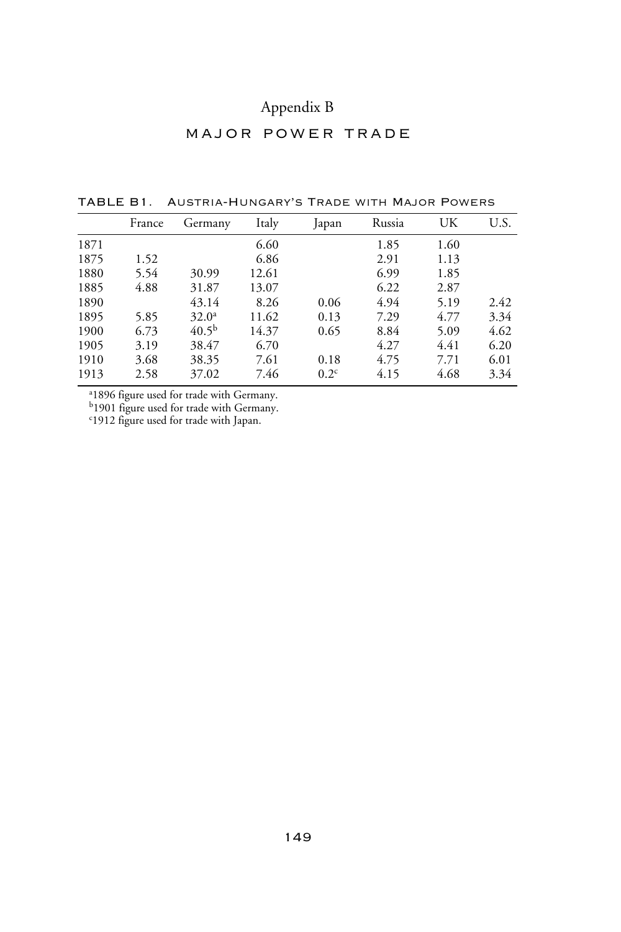## Appendix B

## major power trade

|      | France | Germany           | Italy | Japan            | Russia | UK   | U.S. |
|------|--------|-------------------|-------|------------------|--------|------|------|
| 1871 |        |                   | 6.60  |                  | 1.85   | 1.60 |      |
| 1875 | 1.52   |                   | 6.86  |                  | 2.91   | 1.13 |      |
| 1880 | 5.54   | 30.99             | 12.61 |                  | 6.99   | 1.85 |      |
| 1885 | 4.88   | 31.87             | 13.07 |                  | 6.22   | 2.87 |      |
| 1890 |        | 43.14             | 8.26  | 0.06             | 4.94   | 5.19 | 2.42 |
| 1895 | 5.85   | 32.0 <sup>a</sup> | 11.62 | 0.13             | 7.29   | 4.77 | 3.34 |
| 1900 | 6.73   | 40.5 <sup>b</sup> | 14.37 | 0.65             | 8.84   | 5.09 | 4.62 |
| 1905 | 3.19   | 38.47             | 6.70  |                  | 4.27   | 4.41 | 6.20 |
| 1910 | 3.68   | 38.35             | 7.61  | 0.18             | 4.75   | 7.71 | 6.01 |
| 1913 | 2.58   | 37.02             | 7.46  | 0.2 <sup>c</sup> | 4.15   | 4.68 | 3.34 |

TABLE B1. Austria-Hungary's Trade with Major Powers

a 1896 figure used for trade with Germany.

b1901 figure used for trade with Germany. c 1912 figure used for trade with Japan.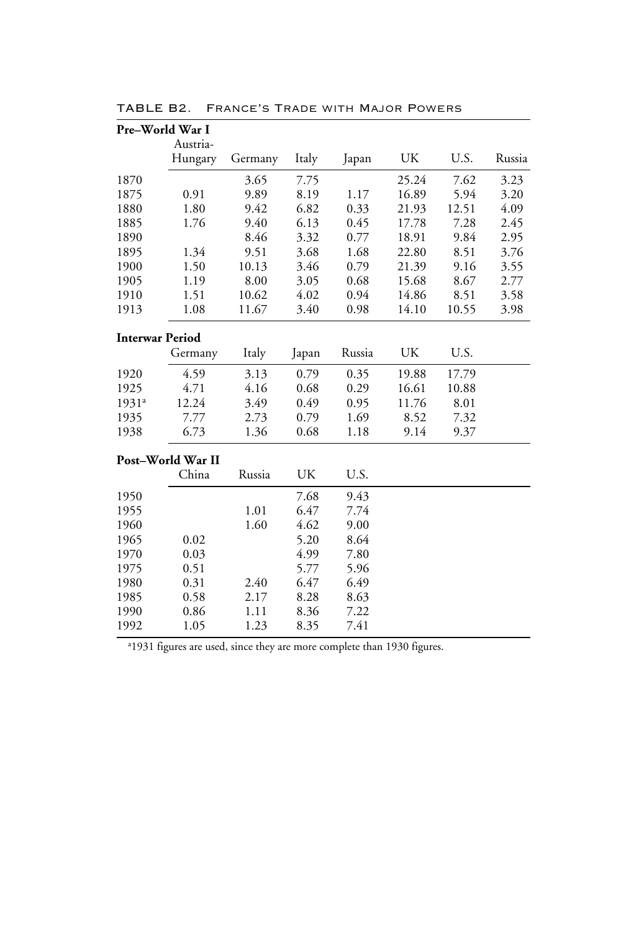| Pre-World War I        |                     |         |       |        |       |       |        |
|------------------------|---------------------|---------|-------|--------|-------|-------|--------|
|                        | Austria-<br>Hungary | Germany | Italy | Japan  | UK    | U.S.  | Russia |
| 1870                   |                     | 3.65    | 7.75  |        | 25.24 | 7.62  | 3.23   |
| 1875                   | 0.91                | 9.89    | 8.19  | 1.17   | 16.89 | 5.94  | 3.20   |
| 1880                   | 1.80                | 9.42    | 6.82  | 0.33   | 21.93 | 12.51 | 4.09   |
| 1885                   | 1.76                | 9.40    | 6.13  | 0.45   | 17.78 | 7.28  | 2.45   |
| 1890                   |                     | 8.46    | 3.32  | 0.77   | 18.91 | 9.84  | 2.95   |
| 1895                   | 1.34                | 9.51    | 3.68  | 1.68   | 22.80 | 8.51  | 3.76   |
| 1900                   | 1.50                | 10.13   | 3.46  | 0.79   | 21.39 | 9.16  | 3.55   |
| 1905                   | 1.19                | 8.00    | 3.05  | 0.68   | 15.68 | 8.67  | 2.77   |
| 1910                   | 1.51                | 10.62   | 4.02  | 0.94   | 14.86 | 8.51  | 3.58   |
| 1913                   | 1.08                | 11.67   | 3.40  | 0.98   | 14.10 | 10.55 | 3.98   |
| <b>Interwar Period</b> |                     |         |       |        |       |       |        |
|                        | Germany             | Italy   | Japan | Russia | UK    | U.S.  |        |
| 1920                   | 4.59                | 3.13    | 0.79  | 0.35   | 19.88 | 17.79 |        |
| 1925                   | 4.71                | 4.16    | 0.68  | 0.29   | 16.61 | 10.88 |        |
| 1931 <sup>a</sup>      | 12.24               | 3.49    | 0.49  | 0.95   | 11.76 | 8.01  |        |
| 1935                   | 7.77                | 2.73    | 0.79  | 1.69   | 8.52  | 7.32  |        |
| 1938                   | 6.73                | 1.36    | 0.68  | 1.18   | 9.14  | 9.37  |        |
|                        | Post-World War II   |         |       |        |       |       |        |
|                        | China               | Russia  | UK    | U.S.   |       |       |        |
| 1950                   |                     |         | 7.68  | 9.43   |       |       |        |
| 1955                   |                     | 1.01    | 6.47  | 7.74   |       |       |        |
| 1960                   |                     | 1.60    | 4.62  | 9.00   |       |       |        |
| 1965                   | 0.02                |         | 5.20  | 8.64   |       |       |        |
| 1970                   | 0.03                |         | 4.99  | 7.80   |       |       |        |
| 1975                   | 0.51                |         | 5.77  | 5.96   |       |       |        |
| 1980                   | 0.31                | 2.40    | 6.47  | 6.49   |       |       |        |
| 1985                   | 0.58                | 2.17    | 8.28  | 8.63   |       |       |        |
| 1990                   | 0.86                | 1.11    | 8.36  | 7.22   |       |       |        |
| 1992                   | 1.05                | 1.23    | 8.35  | 7.41   |       |       |        |

TABLE B2. France's Trade with Major Powers

a 1931 figures are used, since they are more complete than 1930 figures.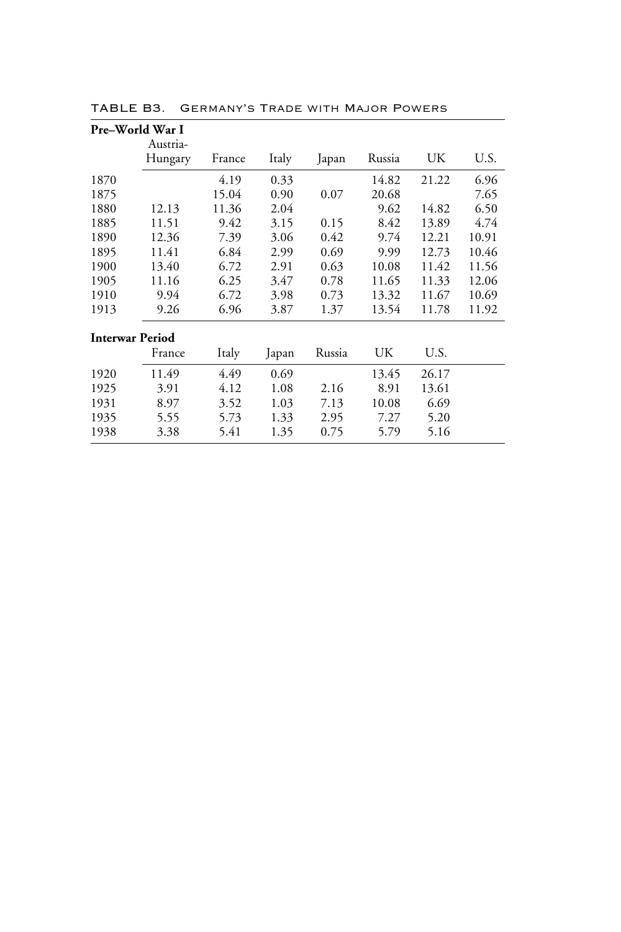|      | Pre–World War I        |        |       |        |        |       |       |
|------|------------------------|--------|-------|--------|--------|-------|-------|
|      | Austria-<br>Hungary    | France | Italy | Japan  | Russia | UK    | U.S.  |
| 1870 |                        | 4.19   | 0.33  |        | 14.82  | 21.22 | 6.96  |
| 1875 |                        | 15.04  | 0.90  | 0.07   | 20.68  |       | 7.65  |
| 1880 | 12.13                  | 11.36  | 2.04  |        | 9.62   | 14.82 | 6.50  |
| 1885 | 11.51                  | 9.42   | 3.15  | 0.15   | 8.42   | 13.89 | 4.74  |
| 1890 | 12.36                  | 7.39   | 3.06  | 0.42   | 9.74   | 12.21 | 10.91 |
| 1895 | 11.41                  | 6.84   | 2.99  | 0.69   | 9.99   | 12.73 | 10.46 |
| 1900 | 13.40                  | 6.72   | 2.91  | 0.63   | 10.08  | 11.42 | 11.56 |
| 1905 | 11.16                  | 6.25   | 3.47  | 0.78   | 11.65  | 11.33 | 12.06 |
| 1910 | 9.94                   | 6.72   | 3.98  | 0.73   | 13.32  | 11.67 | 10.69 |
| 1913 | 9.26                   | 6.96   | 3.87  | 1.37   | 13.54  | 11.78 | 11.92 |
|      | <b>Interwar Period</b> |        |       |        |        |       |       |
|      | France                 | Italy  | Japan | Russia | UK     | U.S.  |       |
| 1920 | 11.49                  | 4.49   | 0.69  |        | 13.45  | 26.17 |       |
| 1925 | 3.91                   | 4.12   | 1.08  | 2.16   | 8.91   | 13.61 |       |
| 1931 | 8.97                   | 3.52   | 1.03  | 7.13   | 10.08  | 6.69  |       |
| 1935 | 5.55                   | 5.73   | 1.33  | 2.95   | 7.27   | 5.20  |       |
| 1938 | 3.38                   | 5.41   | 1.35  | 0.75   | 5.79   | 5.16  |       |

TABLE B3. Germany's Trade with Major Powers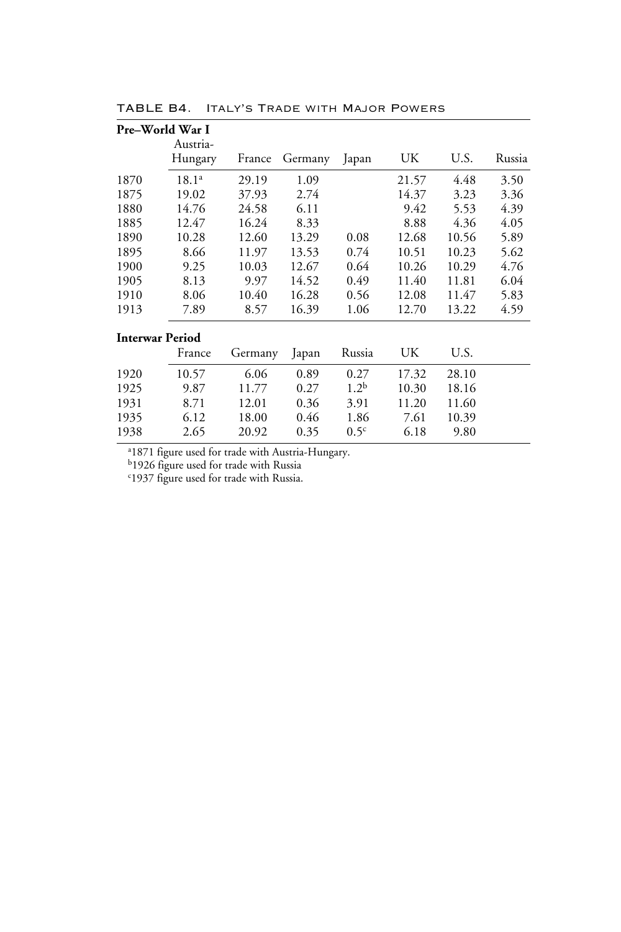| Pre–World War I        |                     |         |         |                  |       |       |        |
|------------------------|---------------------|---------|---------|------------------|-------|-------|--------|
|                        | Austria-<br>Hungary | France  | Germany | Japan            | UK    | U.S.  | Russia |
| 1870                   | $18.1^{a}$          | 29.19   | 1.09    |                  | 21.57 | 4.48  | 3.50   |
| 1875                   | 19.02               | 37.93   | 2.74    |                  | 14.37 | 3.23  | 3.36   |
| 1880                   | 14.76               | 24.58   | 6.11    |                  | 9.42  | 5.53  | 4.39   |
| 1885                   | 12.47               | 16.24   | 8.33    |                  | 8.88  | 4.36  | 4.05   |
| 1890                   | 10.28               | 12.60   | 13.29   | 0.08             | 12.68 | 10.56 | 5.89   |
| 1895                   | 8.66                | 11.97   | 13.53   | 0.74             | 10.51 | 10.23 | 5.62   |
| 1900                   | 9.25                | 10.03   | 12.67   | 0.64             | 10.26 | 10.29 | 4.76   |
| 1905                   | 8.13                | 9.97    | 14.52   | 0.49             | 11.40 | 11.81 | 6.04   |
| 1910                   | 8.06                | 10.40   | 16.28   | 0.56             | 12.08 | 11.47 | 5.83   |
| 1913                   | 7.89                | 8.57    | 16.39   | 1.06             | 12.70 | 13.22 | 4.59   |
| <b>Interwar Period</b> |                     |         |         |                  |       |       |        |
|                        | France              | Germany | Japan   | Russia           | UK    | U.S.  |        |
| 1920                   | 10.57               | 6.06    | 0.89    | 0.27             | 17.32 | 28.10 |        |
| 1925                   | 9.87                | 11.77   | 0.27    | $1.2^{b}$        | 10.30 | 18.16 |        |
| 1931                   | 8.71                | 12.01   | 0.36    | 3.91             | 11.20 | 11.60 |        |
| 1935                   | 6.12                | 18.00   | 0.46    | 1.86             | 7.61  | 10.39 |        |
| 1938                   | 2.65                | 20.92   | 0.35    | 0.5 <sup>c</sup> | 6.18  | 9.80  |        |

TABLE B4. Italy's Trade with Major Powers

a 1871 figure used for trade with Austria-Hungary.

b1926 figure used for trade with Russia c 1937 figure used for trade with Russia.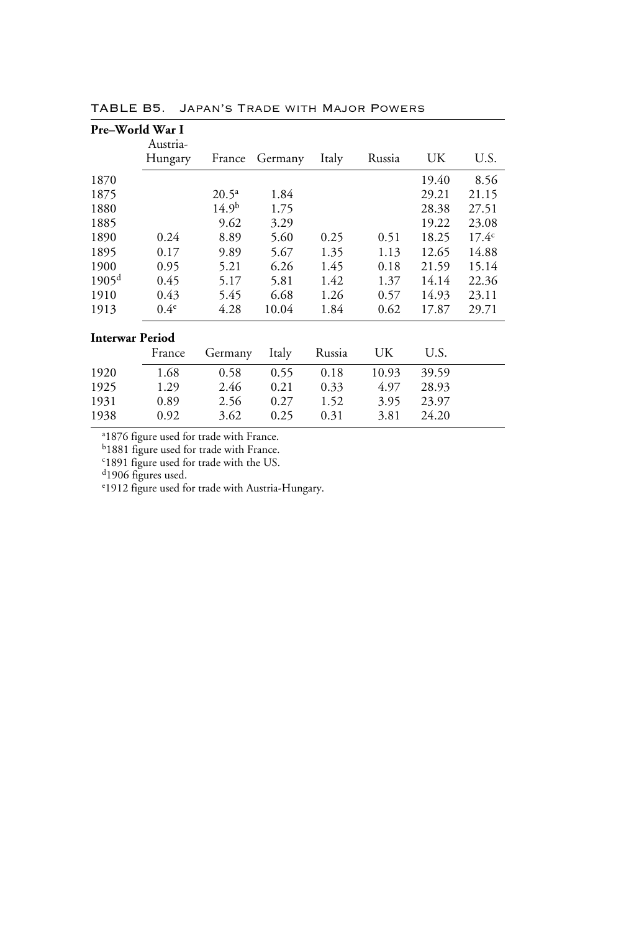|                        | Pre–World War I |                   |         |        |        |       |                |
|------------------------|-----------------|-------------------|---------|--------|--------|-------|----------------|
|                        | Austria-        |                   |         |        |        |       |                |
|                        | Hungary         | France            | Germany | Italy  | Russia | UK    | U.S.           |
| 1870                   |                 |                   |         |        |        | 19.40 | 8.56           |
| 1875                   |                 | $20.5^{\rm a}$    | 1.84    |        |        | 29.21 | 21.15          |
| 1880                   |                 | 14.9 <sup>b</sup> | 1.75    |        |        | 28.38 | 27.51          |
| 1885                   |                 | 9.62              | 3.29    |        |        | 19.22 | 23.08          |
| 1890                   | 0.24            | 8.89              | 5.60    | 0.25   | 0.51   | 18.25 | $17.4^{\circ}$ |
| 1895                   | 0.17            | 9.89              | 5.67    | 1.35   | 1.13   | 12.65 | 14.88          |
| 1900                   | 0.95            | 5.21              | 6.26    | 1.45   | 0.18   | 21.59 | 15.14          |
| 1905 <sup>d</sup>      | 0.45            | 5.17              | 5.81    | 1.42   | 1.37   | 14.14 | 22.36          |
| 1910                   | 0.43            | 5.45              | 6.68    | 1.26   | 0.57   | 14.93 | 23.11          |
| 1913                   | $0.4^e$         | 4.28              | 10.04   | 1.84   | 0.62   | 17.87 | 29.71          |
| <b>Interwar Period</b> |                 |                   |         |        |        |       |                |
|                        | France          | Germany           | Italy   | Russia | UK     | U.S.  |                |
| 1920                   | 1.68            | 0.58              | 0.55    | 0.18   | 10.93  | 39.59 |                |
| 1925                   | 1.29            | 2.46              | 0.21    | 0.33   | 4.97   | 28.93 |                |
| 1931                   | 0.89            | 2.56              | 0.27    | 1.52   | 3.95   | 23.97 |                |

1938 0.92 3.62 0.25 0.31 3.81 24.20

TABLE B5. Japan's Trade with Major Powers

a 1876 figure used for trade with France.

b1881 figure used for trade with France. c 1891 figure used for trade with the US.

<sup>d</sup>1906 figures used.

e 1912 figure used for trade with Austria-Hungary.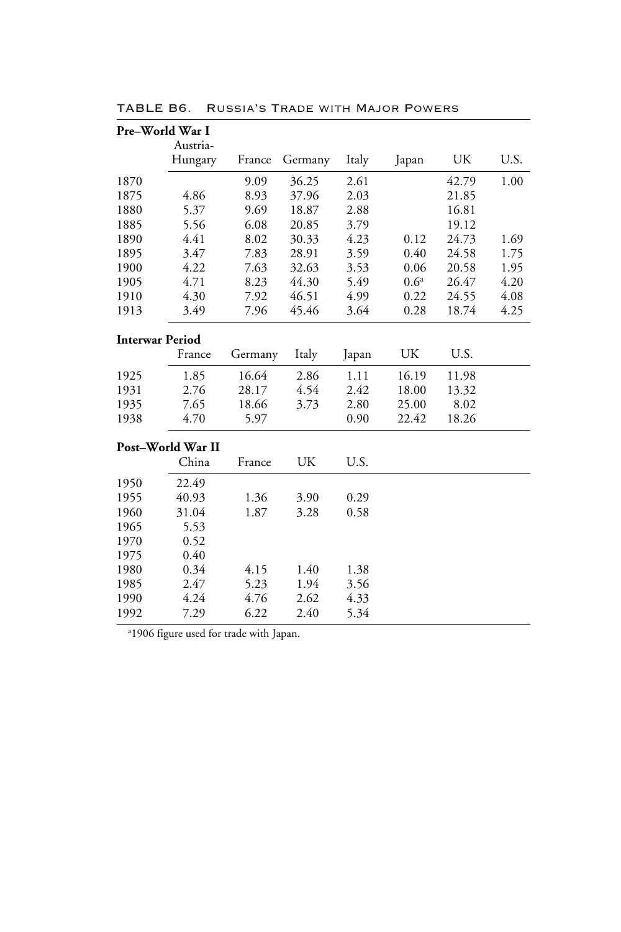| Pre-World War I        |                   |         |         |       |                  |       |      |
|------------------------|-------------------|---------|---------|-------|------------------|-------|------|
|                        | Austria-          |         |         |       |                  |       |      |
|                        | Hungary           | France  | Germany | Italy | Japan            | UK    | U.S. |
| 1870                   |                   | 9.09    | 36.25   | 2.61  |                  | 42.79 | 1.00 |
| 1875                   | 4.86              | 8.93    | 37.96   | 2.03  |                  | 21.85 |      |
| 1880                   | 5.37              | 9.69    | 18.87   | 2.88  |                  | 16.81 |      |
| 1885                   | 5.56              | 6.08    | 20.85   | 3.79  |                  | 19.12 |      |
| 1890                   | 4.41              | 8.02    | 30.33   | 4.23  | 0.12             | 24.73 | 1.69 |
| 1895                   | 3.47              | 7.83    | 28.91   | 3.59  | 0.40             | 24.58 | 1.75 |
| 1900                   | 4.22              | 7.63    | 32.63   | 3.53  | 0.06             | 20.58 | 1.95 |
| 1905                   | 4.71              | 8.23    | 44.30   | 5.49  | 0.6 <sup>a</sup> | 26.47 | 4.20 |
| 1910                   | 4.30              | 7.92    | 46.51   | 4.99  | 0.22             | 24.55 | 4.08 |
| 1913                   | 3.49              | 7.96    | 45.46   | 3.64  | 0.28             | 18.74 | 4.25 |
| <b>Interwar Period</b> |                   |         |         |       |                  |       |      |
|                        | France            | Germany | Italy   | Japan | UK               | U.S.  |      |
| 1925                   | 1.85              | 16.64   | 2.86    | 1.11  | 16.19            | 11.98 |      |
| 1931                   | 2.76              | 28.17   | 4.54    | 2.42  | 18.00            | 13.32 |      |
| 1935                   | 7.65              | 18.66   | 3.73    | 2.80  | 25.00            | 8.02  |      |
| 1938                   | 4.70              | 5.97    |         | 0.90  | 22.42            | 18.26 |      |
|                        | Post-World War II |         |         |       |                  |       |      |
|                        | China             | France  | UK      | U.S.  |                  |       |      |
| 1950                   | 22.49             |         |         |       |                  |       |      |
| 1955                   | 40.93             | 1.36    | 3.90    | 0.29  |                  |       |      |
| 1960                   | 31.04             | 1.87    | 3.28    | 0.58  |                  |       |      |
| 1965                   | 5.53              |         |         |       |                  |       |      |
| 1970                   | 0.52              |         |         |       |                  |       |      |
| 1975                   | 0.40              |         |         |       |                  |       |      |
| 1980                   | 0.34              | 4.15    | 1.40    | 1.38  |                  |       |      |
| 1985                   | 2.47              | 5.23    | 1.94    | 3.56  |                  |       |      |
| 1990                   | 4.24              | 4.76    | 2.62    | 4.33  |                  |       |      |
| 1992                   | 7.29              | 6.22    | 2.40    | 5.34  |                  |       |      |

TABLE B6. Russia's Trade with Major Powers

a 1906 figure used for trade with Japan.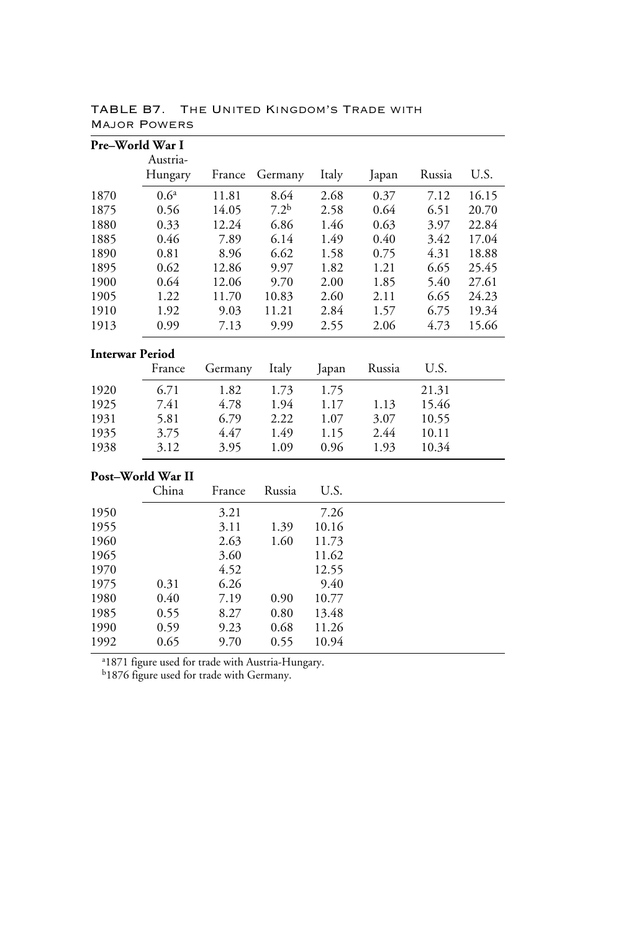| Pre-World War I        |                   |         |                  |       |        |        |       |
|------------------------|-------------------|---------|------------------|-------|--------|--------|-------|
|                        | Austria-          |         |                  |       |        |        |       |
|                        | Hungary           | France  | Germany          | Italy | Japan  | Russia | U.S.  |
| 1870                   | 0.6 <sup>a</sup>  | 11.81   | 8.64             | 2.68  | 0.37   | 7.12   | 16.15 |
| 1875                   | 0.56              | 14.05   | 7.2 <sup>b</sup> | 2.58  | 0.64   | 6.51   | 20.70 |
| 1880                   | 0.33              | 12.24   | 6.86             | 1.46  | 0.63   | 3.97   | 22.84 |
| 1885                   | 0.46              | 7.89    | 6.14             | 1.49  | 0.40   | 3.42   | 17.04 |
| 1890                   | 0.81              | 8.96    | 6.62             | 1.58  | 0.75   | 4.31   | 18.88 |
| 1895                   | 0.62              | 12.86   | 9.97             | 1.82  | 1.21   | 6.65   | 25.45 |
| 1900                   | 0.64              | 12.06   | 9.70             | 2.00  | 1.85   | 5.40   | 27.61 |
| 1905                   | 1.22              | 11.70   | 10.83            | 2.60  | 2.11   | 6.65   | 24.23 |
| 1910                   | 1.92              | 9.03    | 11.21            | 2.84  | 1.57   | 6.75   | 19.34 |
| 1913                   | 0.99              | 7.13    | 9.99             | 2.55  | 2.06   | 4.73   | 15.66 |
| <b>Interwar Period</b> |                   |         |                  |       |        |        |       |
|                        | France            | Germany | Italy            | Japan | Russia | U.S.   |       |
| 1920                   | 6.71              | 1.82    | 1.73             | 1.75  |        | 21.31  |       |
| 1925                   | 7.41              | 4.78    | 1.94             | 1.17  | 1.13   | 15.46  |       |
| 1931                   | 5.81              | 6.79    | 2.22             | 1.07  | 3.07   | 10.55  |       |
| 1935                   | 3.75              | 4.47    | 1.49             | 1.15  | 2.44   | 10.11  |       |
| 1938                   | 3.12              | 3.95    | 1.09             | 0.96  | 1.93   | 10.34  |       |
|                        | Post-World War II |         |                  |       |        |        |       |
|                        | China             | France  | Russia           | U.S.  |        |        |       |
| 1950                   |                   | 3.21    |                  | 7.26  |        |        |       |
| 1955                   |                   | 3.11    | 1.39             | 10.16 |        |        |       |
| 1960                   |                   | 2.63    | 1.60             | 11.73 |        |        |       |
| 1965                   |                   | 3.60    |                  | 11.62 |        |        |       |
| 1970                   |                   | 4.52    |                  | 12.55 |        |        |       |
| 1975                   | 0.31              | 6.26    |                  | 9.40  |        |        |       |
| 1980                   | 0.40              | 7.19    | 0.90             | 10.77 |        |        |       |
| 1985                   | 0.55              | 8.27    | 0.80             | 13.48 |        |        |       |
| 1990                   | 0.59              | 9.23    | 0.68             | 11.26 |        |        |       |
| 1992                   | 0.65              | 9.70    | 0.55             | 10.94 |        |        |       |

TABLE B7. The United Kingdom's Trade with Major Powers

a 1871 figure used for trade with Austria-Hungary.

<sup>b</sup>1876 figure used for trade with Germany.